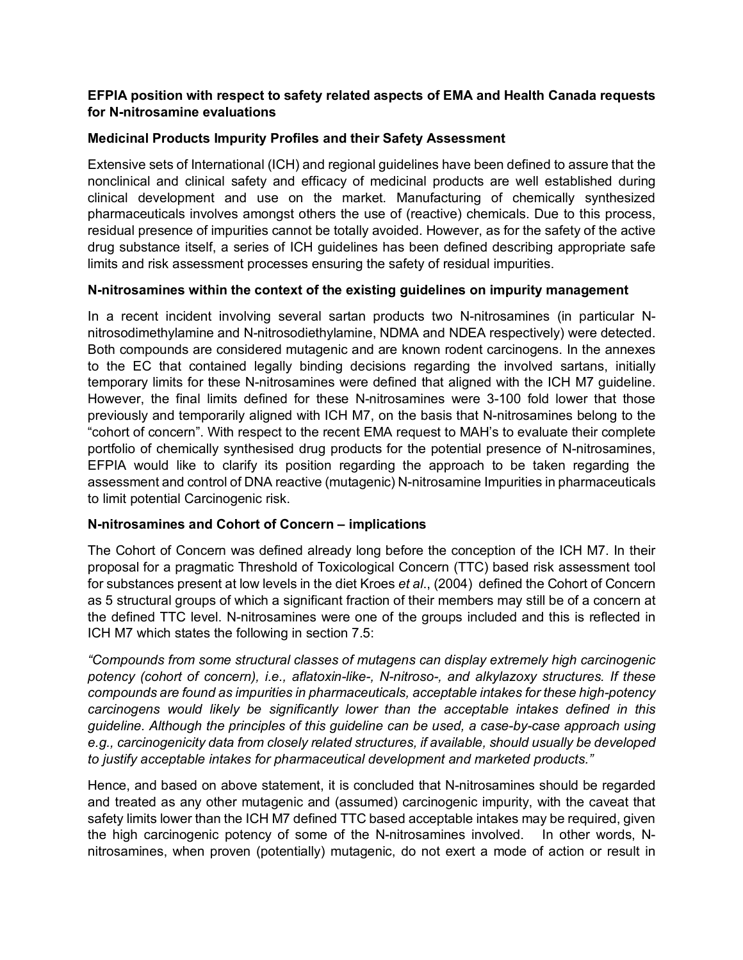# **EFPIA position with respect to safety related aspects of EMA and Health Canada requests for N-nitrosamine evaluations**

## **Medicinal Products Impurity Profiles and their Safety Assessment**

Extensive sets of International (ICH) and regional guidelines have been defined to assure that the nonclinical and clinical safety and efficacy of medicinal products are well established during clinical development and use on the market. Manufacturing of chemically synthesized pharmaceuticals involves amongst others the use of (reactive) chemicals. Due to this process, residual presence of impurities cannot be totally avoided. However, as for the safety of the active drug substance itself, a series of ICH guidelines has been defined describing appropriate safe limits and risk assessment processes ensuring the safety of residual impurities.

# **N-nitrosamines within the context of the existing guidelines on impurity management**

In a recent incident involving several sartan products two N-nitrosamines (in particular Nnitrosodimethylamine and N-nitrosodiethylamine, NDMA and NDEA respectively) were detected. Both compounds are considered mutagenic and are known rodent carcinogens. In the annexes to the EC that contained legally binding decisions regarding the involved sartans, initially temporary limits for these N-nitrosamines were defined that aligned with the ICH M7 guideline. However, the final limits defined for these N-nitrosamines were 3-100 fold lower that those previously and temporarily aligned with ICH M7, on the basis that N-nitrosamines belong to the "cohort of concern". With respect to the recent EMA request to MAH's to evaluate their complete portfolio of chemically synthesised drug products for the potential presence of N-nitrosamines, EFPIA would like to clarify its position regarding the approach to be taken regarding the assessment and control of DNA reactive (mutagenic) N-nitrosamine Impurities in pharmaceuticals to limit potential Carcinogenic risk.

# **N-nitrosamines and Cohort of Concern – implications**

The Cohort of Concern was defined already long before the conception of the ICH M7. In their proposal for a pragmatic Threshold of Toxicological Concern (TTC) based risk assessment tool for substances present at low levels in the diet Kroes *et al*., (2004) defined the Cohort of Concern as 5 structural groups of which a significant fraction of their members may still be of a concern at the defined TTC level. N-nitrosamines were one of the groups included and this is reflected in ICH M7 which states the following in section 7.5:

*"Compounds from some structural classes of mutagens can display extremely high carcinogenic potency (cohort of concern), i.e., aflatoxin-like-, N-nitroso-, and alkylazoxy structures. If these compounds are found as impurities in pharmaceuticals, acceptable intakes for these high-potency carcinogens would likely be significantly lower than the acceptable intakes defined in this guideline. Although the principles of this guideline can be used, a case-by-case approach using e.g., carcinogenicity data from closely related structures, if available, should usually be developed to justify acceptable intakes for pharmaceutical development and marketed products."* 

Hence, and based on above statement, it is concluded that N-nitrosamines should be regarded and treated as any other mutagenic and (assumed) carcinogenic impurity, with the caveat that safety limits lower than the ICH M7 defined TTC based acceptable intakes may be required, given the high carcinogenic potency of some of the N-nitrosamines involved. In other words, Nnitrosamines, when proven (potentially) mutagenic, do not exert a mode of action or result in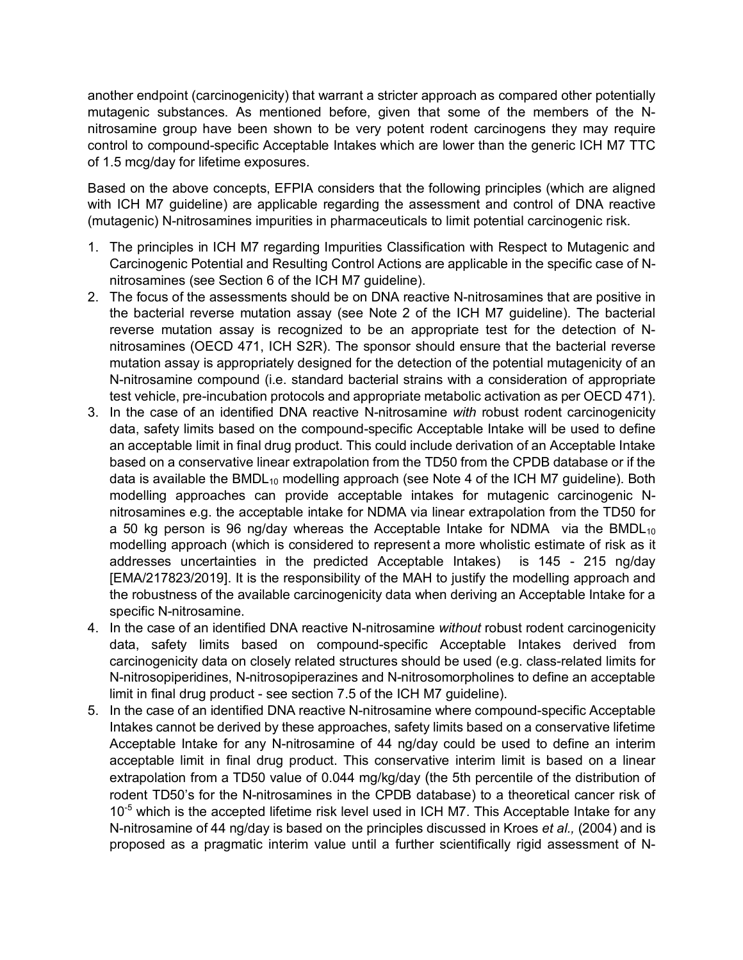another endpoint (carcinogenicity) that warrant a stricter approach as compared other potentially mutagenic substances. As mentioned before, given that some of the members of the Nnitrosamine group have been shown to be very potent rodent carcinogens they may require control to compound-specific Acceptable Intakes which are lower than the generic ICH M7 TTC of 1.5 mcg/day for lifetime exposures.

Based on the above concepts, EFPIA considers that the following principles (which are aligned with ICH M7 guideline) are applicable regarding the assessment and control of DNA reactive (mutagenic) N-nitrosamines impurities in pharmaceuticals to limit potential carcinogenic risk.

- 1. The principles in ICH M7 regarding Impurities Classification with Respect to Mutagenic and Carcinogenic Potential and Resulting Control Actions are applicable in the specific case of Nnitrosamines (see Section 6 of the ICH M7 guideline).
- 2. The focus of the assessments should be on DNA reactive N-nitrosamines that are positive in the bacterial reverse mutation assay (see Note 2 of the ICH M7 guideline). The bacterial reverse mutation assay is recognized to be an appropriate test for the detection of Nnitrosamines (OECD 471, ICH S2R). The sponsor should ensure that the bacterial reverse mutation assay is appropriately designed for the detection of the potential mutagenicity of an N-nitrosamine compound (i.e. standard bacterial strains with a consideration of appropriate test vehicle, pre-incubation protocols and appropriate metabolic activation as per OECD 471).
- 3. In the case of an identified DNA reactive N-nitrosamine *with* robust rodent carcinogenicity data, safety limits based on the compound-specific Acceptable Intake will be used to define an acceptable limit in final drug product. This could include derivation of an Acceptable Intake based on a conservative linear extrapolation from the TD50 from the CPDB database or if the data is available the BMDL<sub>10</sub> modelling approach (see Note 4 of the ICH M7 guideline). Both modelling approaches can provide acceptable intakes for mutagenic carcinogenic Nnitrosamines e.g. the acceptable intake for NDMA via linear extrapolation from the TD50 for a 50 kg person is 96 ng/day whereas the Acceptable Intake for NDMA via the BMDL $_{10}$ modelling approach (which is considered to represent a more wholistic estimate of risk as it addresses uncertainties in the predicted Acceptable Intakes) is 145 - 215 ng/day [EMA/217823/2019]. It is the responsibility of the MAH to justify the modelling approach and the robustness of the available carcinogenicity data when deriving an Acceptable Intake for a specific N-nitrosamine.
- 4. In the case of an identified DNA reactive N-nitrosamine *without* robust rodent carcinogenicity data, safety limits based on compound-specific Acceptable Intakes derived from carcinogenicity data on closely related structures should be used (e.g. class-related limits for N-nitrosopiperidines, N-nitrosopiperazines and N-nitrosomorpholines to define an acceptable limit in final drug product - see section 7.5 of the ICH M7 guideline).
- 5. In the case of an identified DNA reactive N-nitrosamine where compound-specific Acceptable Intakes cannot be derived by these approaches, safety limits based on a conservative lifetime Acceptable Intake for any N-nitrosamine of 44 ng/day could be used to define an interim acceptable limit in final drug product. This conservative interim limit is based on a linear extrapolation from a TD50 value of 0.044 mg/kg/day (the 5th percentile of the distribution of rodent TD50's for the N-nitrosamines in the CPDB database) to a theoretical cancer risk of 10<sup>-5</sup> which is the accepted lifetime risk level used in ICH M7. This Acceptable Intake for any N-nitrosamine of 44 ng/day is based on the principles discussed in Kroes *et al.,* (2004) and is proposed as a pragmatic interim value until a further scientifically rigid assessment of N-